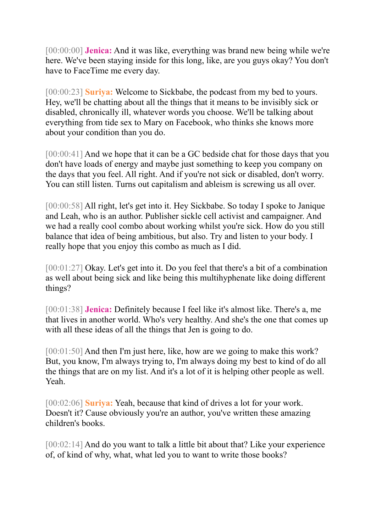[00:00:00] **Jenica:** And it was like, everything was brand new being while we're here. We've been staying inside for this long, like, are you guys okay? You don't have to FaceTime me every day.

[00:00:23] **Suriya:** Welcome to Sickbabe, the podcast from my bed to yours. Hey, we'll be chatting about all the things that it means to be invisibly sick or disabled, chronically ill, whatever words you choose. We'll be talking about everything from tide sex to Mary on Facebook, who thinks she knows more about your condition than you do.

[00:00:41] And we hope that it can be a GC bedside chat for those days that you don't have loads of energy and maybe just something to keep you company on the days that you feel. All right. And if you're not sick or disabled, don't worry. You can still listen. Turns out capitalism and ableism is screwing us all over.

[00:00:58] All right, let's get into it. Hey Sickbabe. So today I spoke to Janique and Leah, who is an author. Publisher sickle cell activist and campaigner. And we had a really cool combo about working whilst you're sick. How do you still balance that idea of being ambitious, but also. Try and listen to your body. I really hope that you enjoy this combo as much as I did.

[00:01:27] Okay. Let's get into it. Do you feel that there's a bit of a combination as well about being sick and like being this multihyphenate like doing different things?

[00:01:38] **Jenica:** Definitely because I feel like it's almost like. There's a, me that lives in another world. Who's very healthy. And she's the one that comes up with all these ideas of all the things that Jen is going to do.

[00:01:50] And then I'm just here, like, how are we going to make this work? But, you know, I'm always trying to, I'm always doing my best to kind of do all the things that are on my list. And it's a lot of it is helping other people as well. Yeah.

[00:02:06] **Suriya:** Yeah, because that kind of drives a lot for your work. Doesn't it? Cause obviously you're an author, you've written these amazing children's books.

[00:02:14] And do you want to talk a little bit about that? Like your experience of, of kind of why, what, what led you to want to write those books?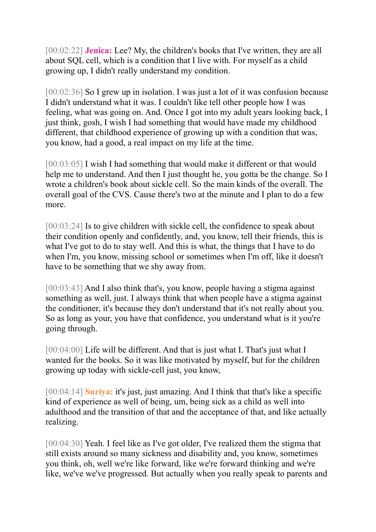[00:02:22] **Jenica:** Lee? My, the children's books that I've written, they are all about SQL cell, which is a condition that I live with. For myself as a child growing up, I didn't really understand my condition.

[00:02:36] So I grew up in isolation. I was just a lot of it was confusion because I didn't understand what it was. I couldn't like tell other people how I was feeling, what was going on. And. Once I got into my adult years looking back, I just think, gosh, I wish I had something that would have made my childhood different, that childhood experience of growing up with a condition that was, you know, had a good, a real impact on my life at the time.

[00:03:05] I wish I had something that would make it different or that would help me to understand. And then I just thought he, you gotta be the change. So I wrote a children's book about sickle cell. So the main kinds of the overall. The overall goal of the CVS. Cause there's two at the minute and I plan to do a few more.

[00:03:24] Is to give children with sickle cell, the confidence to speak about their condition openly and confidently, and, you know, tell their friends, this is what I've got to do to stay well. And this is what, the things that I have to do when I'm, you know, missing school or sometimes when I'm off, like it doesn't have to be something that we shy away from.

[00:03:43] And I also think that's, you know, people having a stigma against something as well, just. I always think that when people have a stigma against the conditioner, it's because they don't understand that it's not really about you. So as long as your, you have that confidence, you understand what is it you're going through.

[00:04:00] Life will be different. And that is just what I. That's just what I wanted for the books. So it was like motivated by myself, but for the children growing up today with sickle-cell just, you know,

[00:04:14] **Suriya:** it's just, just amazing. And I think that that's like a specific kind of experience as well of being, um, being sick as a child as well into adulthood and the transition of that and the acceptance of that, and like actually realizing.

[00:04:30] Yeah. I feel like as I've got older, I've realized them the stigma that still exists around so many sickness and disability and, you know, sometimes you think, oh, well we're like forward, like we're forward thinking and we're like, we've we've progressed. But actually when you really speak to parents and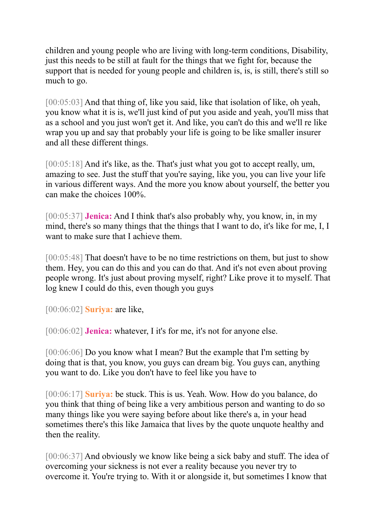children and young people who are living with long-term conditions, Disability, just this needs to be still at fault for the things that we fight for, because the support that is needed for young people and children is, is, is still, there's still so much to go.

[00:05:03] And that thing of, like you said, like that isolation of like, oh yeah, you know what it is is, we'll just kind of put you aside and yeah, you'll miss that as a school and you just won't get it. And like, you can't do this and we'll re like wrap you up and say that probably your life is going to be like smaller insurer and all these different things.

[00:05:18] And it's like, as the. That's just what you got to accept really, um, amazing to see. Just the stuff that you're saying, like you, you can live your life in various different ways. And the more you know about yourself, the better you can make the choices 100%.

[00:05:37] **Jenica:** And I think that's also probably why, you know, in, in my mind, there's so many things that the things that I want to do, it's like for me, I, I want to make sure that I achieve them.

[00:05:48] That doesn't have to be no time restrictions on them, but just to show them. Hey, you can do this and you can do that. And it's not even about proving people wrong. It's just about proving myself, right? Like prove it to myself. That log knew I could do this, even though you guys

[00:06:02] **Suriya:** are like,

[00:06:02] **Jenica:** whatever, I it's for me, it's not for anyone else.

[00:06:06] Do you know what I mean? But the example that I'm setting by doing that is that, you know, you guys can dream big. You guys can, anything you want to do. Like you don't have to feel like you have to

[00:06:17] **Suriya:** be stuck. This is us. Yeah. Wow. How do you balance, do you think that thing of being like a very ambitious person and wanting to do so many things like you were saying before about like there's a, in your head sometimes there's this like Jamaica that lives by the quote unquote healthy and then the reality.

[00:06:37] And obviously we know like being a sick baby and stuff. The idea of overcoming your sickness is not ever a reality because you never try to overcome it. You're trying to. With it or alongside it, but sometimes I know that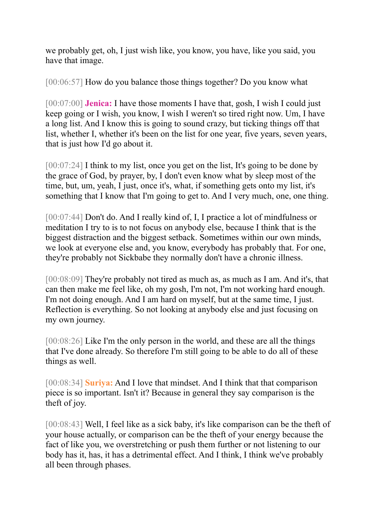we probably get, oh, I just wish like, you know, you have, like you said, you have that image.

[00:06:57] How do you balance those things together? Do you know what

[00:07:00] **Jenica:** I have those moments I have that, gosh, I wish I could just keep going or I wish, you know, I wish I weren't so tired right now. Um, I have a long list. And I know this is going to sound crazy, but ticking things off that list, whether I, whether it's been on the list for one year, five years, seven years, that is just how I'd go about it.

[00:07:24] I think to my list, once you get on the list, It's going to be done by the grace of God, by prayer, by, I don't even know what by sleep most of the time, but, um, yeah, I just, once it's, what, if something gets onto my list, it's something that I know that I'm going to get to. And I very much, one, one thing.

[00:07:44] Don't do. And I really kind of, I, I practice a lot of mindfulness or meditation I try to is to not focus on anybody else, because I think that is the biggest distraction and the biggest setback. Sometimes within our own minds, we look at everyone else and, you know, everybody has probably that. For one, they're probably not Sickbabe they normally don't have a chronic illness.

[00:08:09] They're probably not tired as much as, as much as I am. And it's, that can then make me feel like, oh my gosh, I'm not, I'm not working hard enough. I'm not doing enough. And I am hard on myself, but at the same time, I just. Reflection is everything. So not looking at anybody else and just focusing on my own journey.

[00:08:26] Like I'm the only person in the world, and these are all the things that I've done already. So therefore I'm still going to be able to do all of these things as well.

[00:08:34] **Suriya:** And I love that mindset. And I think that that comparison piece is so important. Isn't it? Because in general they say comparison is the theft of joy.

[00:08:43] Well, I feel like as a sick baby, it's like comparison can be the theft of your house actually, or comparison can be the theft of your energy because the fact of like you, we overstretching or push them further or not listening to our body has it, has, it has a detrimental effect. And I think, I think we've probably all been through phases.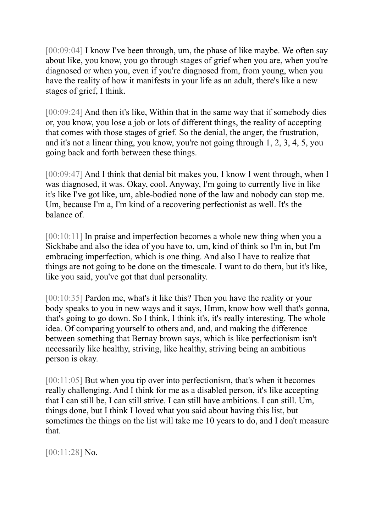[00:09:04] I know I've been through, um, the phase of like maybe. We often say about like, you know, you go through stages of grief when you are, when you're diagnosed or when you, even if you're diagnosed from, from young, when you have the reality of how it manifests in your life as an adult, there's like a new stages of grief, I think.

[00:09:24] And then it's like, Within that in the same way that if somebody dies or, you know, you lose a job or lots of different things, the reality of accepting that comes with those stages of grief. So the denial, the anger, the frustration, and it's not a linear thing, you know, you're not going through 1, 2, 3, 4, 5, you going back and forth between these things.

[00:09:47] And I think that denial bit makes you, I know I went through, when I was diagnosed, it was. Okay, cool. Anyway, I'm going to currently live in like it's like I've got like, um, able-bodied none of the law and nobody can stop me. Um, because I'm a, I'm kind of a recovering perfectionist as well. It's the balance of.

[00:10:11] In praise and imperfection becomes a whole new thing when you a Sickbabe and also the idea of you have to, um, kind of think so I'm in, but I'm embracing imperfection, which is one thing. And also I have to realize that things are not going to be done on the timescale. I want to do them, but it's like, like you said, you've got that dual personality.

[00:10:35] Pardon me, what's it like this? Then you have the reality or your body speaks to you in new ways and it says, Hmm, know how well that's gonna, that's going to go down. So I think, I think it's, it's really interesting. The whole idea. Of comparing yourself to others and, and, and making the difference between something that Bernay brown says, which is like perfectionism isn't necessarily like healthy, striving, like healthy, striving being an ambitious person is okay.

[00:11:05] But when you tip over into perfectionism, that's when it becomes really challenging. And I think for me as a disabled person, it's like accepting that I can still be, I can still strive. I can still have ambitions. I can still. Um, things done, but I think I loved what you said about having this list, but sometimes the things on the list will take me 10 years to do, and I don't measure that.

[00:11:28] No.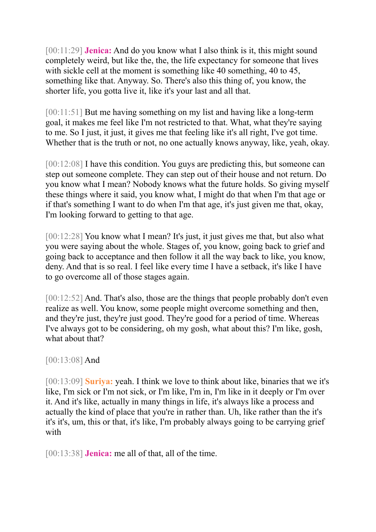[00:11:29] **Jenica:** And do you know what I also think is it, this might sound completely weird, but like the, the, the life expectancy for someone that lives with sickle cell at the moment is something like 40 something, 40 to 45, something like that. Anyway. So. There's also this thing of, you know, the shorter life, you gotta live it, like it's your last and all that.

[00:11:51] But me having something on my list and having like a long-term goal, it makes me feel like I'm not restricted to that. What, what they're saying to me. So I just, it just, it gives me that feeling like it's all right, I've got time. Whether that is the truth or not, no one actually knows anyway, like, yeah, okay.

[00:12:08] I have this condition. You guys are predicting this, but someone can step out someone complete. They can step out of their house and not return. Do you know what I mean? Nobody knows what the future holds. So giving myself these things where it said, you know what, I might do that when I'm that age or if that's something I want to do when I'm that age, it's just given me that, okay, I'm looking forward to getting to that age.

[00:12:28] You know what I mean? It's just, it just gives me that, but also what you were saying about the whole. Stages of, you know, going back to grief and going back to acceptance and then follow it all the way back to like, you know, deny. And that is so real. I feel like every time I have a setback, it's like I have to go overcome all of those stages again.

[00:12:52] And. That's also, those are the things that people probably don't even realize as well. You know, some people might overcome something and then, and they're just, they're just good. They're good for a period of time. Whereas I've always got to be considering, oh my gosh, what about this? I'm like, gosh, what about that?

## [00:13:08] And

[00:13:09] **Suriya:** yeah. I think we love to think about like, binaries that we it's like, I'm sick or I'm not sick, or I'm like, I'm in, I'm like in it deeply or I'm over it. And it's like, actually in many things in life, it's always like a process and actually the kind of place that you're in rather than. Uh, like rather than the it's it's it's, um, this or that, it's like, I'm probably always going to be carrying grief with

[00:13:38] **Jenica:** me all of that, all of the time.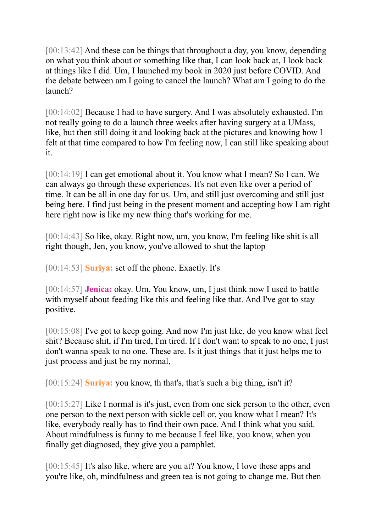[00:13:42] And these can be things that throughout a day, you know, depending on what you think about or something like that, I can look back at, I look back at things like I did. Um, I launched my book in 2020 just before COVID. And the debate between am I going to cancel the launch? What am I going to do the launch?

[00:14:02] Because I had to have surgery. And I was absolutely exhausted. I'm not really going to do a launch three weeks after having surgery at a UMass, like, but then still doing it and looking back at the pictures and knowing how I felt at that time compared to how I'm feeling now, I can still like speaking about it.

[00:14:19] I can get emotional about it. You know what I mean? So I can. We can always go through these experiences. It's not even like over a period of time. It can be all in one day for us. Um, and still just overcoming and still just being here. I find just being in the present moment and accepting how I am right here right now is like my new thing that's working for me.

[00:14:43] So like, okay. Right now, um, you know, I'm feeling like shit is all right though, Jen, you know, you've allowed to shut the laptop

[00:14:53] **Suriya:** set off the phone. Exactly. It's

[00:14:57] **Jenica:** okay. Um, You know, um, I just think now I used to battle with myself about feeding like this and feeling like that. And I've got to stay positive.

[00:15:08] I've got to keep going. And now I'm just like, do you know what feel shit? Because shit, if I'm tired, I'm tired. If I don't want to speak to no one, I just don't wanna speak to no one. These are. Is it just things that it just helps me to just process and just be my normal,

[00:15:24] **Suriya:** you know, th that's, that's such a big thing, isn't it?

[00:15:27] Like I normal is it's just, even from one sick person to the other, even one person to the next person with sickle cell or, you know what I mean? It's like, everybody really has to find their own pace. And I think what you said. About mindfulness is funny to me because I feel like, you know, when you finally get diagnosed, they give you a pamphlet.

[00:15:45] It's also like, where are you at? You know, I love these apps and you're like, oh, mindfulness and green tea is not going to change me. But then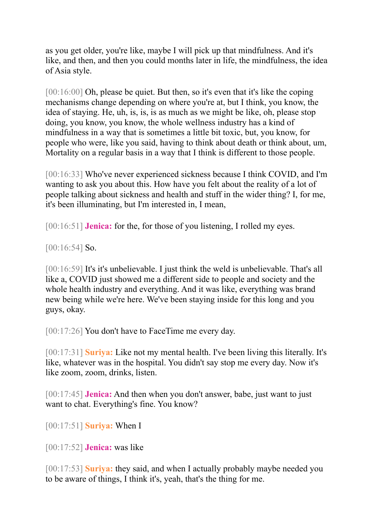as you get older, you're like, maybe I will pick up that mindfulness. And it's like, and then, and then you could months later in life, the mindfulness, the idea of Asia style.

[00:16:00] Oh, please be quiet. But then, so it's even that it's like the coping mechanisms change depending on where you're at, but I think, you know, the idea of staying. He, uh, is, is, is as much as we might be like, oh, please stop doing, you know, you know, the whole wellness industry has a kind of mindfulness in a way that is sometimes a little bit toxic, but, you know, for people who were, like you said, having to think about death or think about, um, Mortality on a regular basis in a way that I think is different to those people.

[00:16:33] Who've never experienced sickness because I think COVID, and I'm wanting to ask you about this. How have you felt about the reality of a lot of people talking about sickness and health and stuff in the wider thing? I, for me, it's been illuminating, but I'm interested in, I mean,

[00:16:51] **Jenica:** for the, for those of you listening, I rolled my eyes.

[00:16:54] **So.** 

[00:16:59] It's it's unbelievable. I just think the weld is unbelievable. That's all like a, COVID just showed me a different side to people and society and the whole health industry and everything. And it was like, everything was brand new being while we're here. We've been staying inside for this long and you guys, okay.

[00:17:26] You don't have to FaceTime me every day.

[00:17:31] **Suriya:** Like not my mental health. I've been living this literally. It's like, whatever was in the hospital. You didn't say stop me every day. Now it's like zoom, zoom, drinks, listen.

[00:17:45] **Jenica:** And then when you don't answer, babe, just want to just want to chat. Everything's fine. You know?

[00:17:51] **Suriya:** When I

[00:17:52] **Jenica:** was like

[00:17:53] **Suriya:** they said, and when I actually probably maybe needed you to be aware of things, I think it's, yeah, that's the thing for me.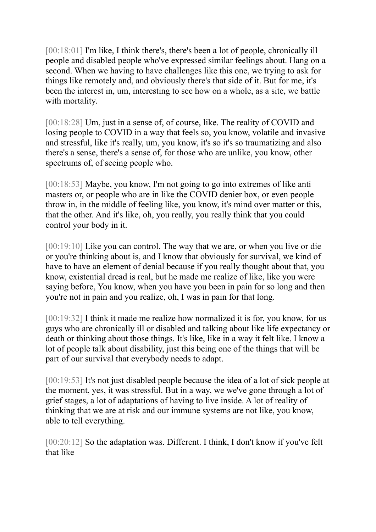[00:18:01] I'm like, I think there's, there's been a lot of people, chronically ill people and disabled people who've expressed similar feelings about. Hang on a second. When we having to have challenges like this one, we trying to ask for things like remotely and, and obviously there's that side of it. But for me, it's been the interest in, um, interesting to see how on a whole, as a site, we battle with mortality.

[00:18:28] Um, just in a sense of, of course, like. The reality of COVID and losing people to COVID in a way that feels so, you know, volatile and invasive and stressful, like it's really, um, you know, it's so it's so traumatizing and also there's a sense, there's a sense of, for those who are unlike, you know, other spectrums of, of seeing people who.

[00:18:53] Maybe, you know, I'm not going to go into extremes of like anti masters or, or people who are in like the COVID denier box, or even people throw in, in the middle of feeling like, you know, it's mind over matter or this, that the other. And it's like, oh, you really, you really think that you could control your body in it.

[00:19:10] Like you can control. The way that we are, or when you live or die or you're thinking about is, and I know that obviously for survival, we kind of have to have an element of denial because if you really thought about that, you know, existential dread is real, but he made me realize of like, like you were saying before, You know, when you have you been in pain for so long and then you're not in pain and you realize, oh, I was in pain for that long.

[00:19:32] I think it made me realize how normalized it is for, you know, for us guys who are chronically ill or disabled and talking about like life expectancy or death or thinking about those things. It's like, like in a way it felt like. I know a lot of people talk about disability, just this being one of the things that will be part of our survival that everybody needs to adapt.

[00:19:53] It's not just disabled people because the idea of a lot of sick people at the moment, yes, it was stressful. But in a way, we we've gone through a lot of grief stages, a lot of adaptations of having to live inside. A lot of reality of thinking that we are at risk and our immune systems are not like, you know, able to tell everything.

[00:20:12] So the adaptation was. Different. I think, I don't know if you've felt that like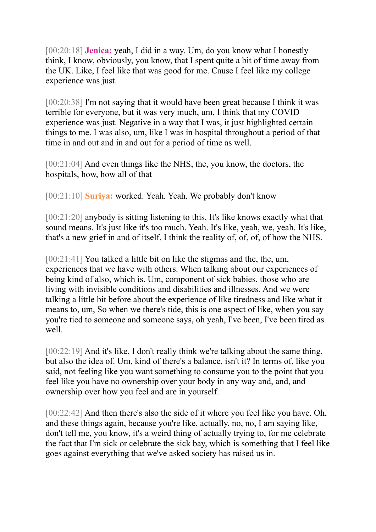[00:20:18] **Jenica:** yeah, I did in a way. Um, do you know what I honestly think, I know, obviously, you know, that I spent quite a bit of time away from the UK. Like, I feel like that was good for me. Cause I feel like my college experience was just.

[00:20:38] I'm not saying that it would have been great because I think it was terrible for everyone, but it was very much, um, I think that my COVID experience was just. Negative in a way that I was, it just highlighted certain things to me. I was also, um, like I was in hospital throughout a period of that time in and out and in and out for a period of time as well.

[00:21:04] And even things like the NHS, the, you know, the doctors, the hospitals, how, how all of that

[00:21:10] **Suriya:** worked. Yeah. Yeah. We probably don't know

[00:21:20] anybody is sitting listening to this. It's like knows exactly what that sound means. It's just like it's too much. Yeah. It's like, yeah, we, yeah. It's like, that's a new grief in and of itself. I think the reality of, of, of, of how the NHS.

[00:21:41] You talked a little bit on like the stigmas and the, the, um, experiences that we have with others. When talking about our experiences of being kind of also, which is. Um, component of sick babies, those who are living with invisible conditions and disabilities and illnesses. And we were talking a little bit before about the experience of like tiredness and like what it means to, um, So when we there's tide, this is one aspect of like, when you say you're tied to someone and someone says, oh yeah, I've been, I've been tired as well.

[00:22:19] And it's like, I don't really think we're talking about the same thing, but also the idea of. Um, kind of there's a balance, isn't it? In terms of, like you said, not feeling like you want something to consume you to the point that you feel like you have no ownership over your body in any way and, and, and ownership over how you feel and are in yourself.

[00:22:42] And then there's also the side of it where you feel like you have. Oh, and these things again, because you're like, actually, no, no, I am saying like, don't tell me, you know, it's a weird thing of actually trying to, for me celebrate the fact that I'm sick or celebrate the sick bay, which is something that I feel like goes against everything that we've asked society has raised us in.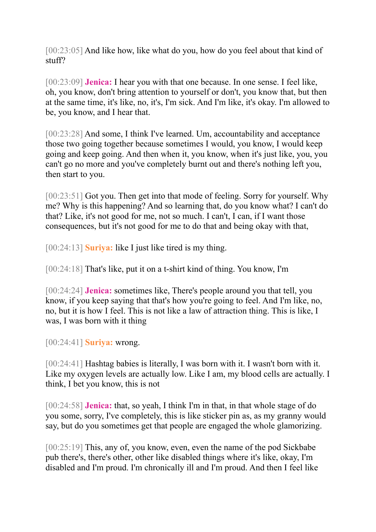[00:23:05] And like how, like what do you, how do you feel about that kind of stuff?

[00:23:09] **Jenica:** I hear you with that one because. In one sense. I feel like, oh, you know, don't bring attention to yourself or don't, you know that, but then at the same time, it's like, no, it's, I'm sick. And I'm like, it's okay. I'm allowed to be, you know, and I hear that.

[00:23:28] And some, I think I've learned. Um, accountability and acceptance those two going together because sometimes I would, you know, I would keep going and keep going. And then when it, you know, when it's just like, you, you can't go no more and you've completely burnt out and there's nothing left you, then start to you.

[00:23:51] Got you. Then get into that mode of feeling. Sorry for yourself. Why me? Why is this happening? And so learning that, do you know what? I can't do that? Like, it's not good for me, not so much. I can't, I can, if I want those consequences, but it's not good for me to do that and being okay with that,

[00:24:13] **Suriya:** like I just like tired is my thing.

[00:24:18] That's like, put it on a t-shirt kind of thing. You know, I'm

[00:24:24] **Jenica:** sometimes like, There's people around you that tell, you know, if you keep saying that that's how you're going to feel. And I'm like, no, no, but it is how I feel. This is not like a law of attraction thing. This is like, I was, I was born with it thing

[00:24:41] **Suriya:** wrong.

[00:24:41] Hashtag babies is literally, I was born with it. I wasn't born with it. Like my oxygen levels are actually low. Like I am, my blood cells are actually. I think, I bet you know, this is not

[00:24:58] **Jenica:** that, so yeah, I think I'm in that, in that whole stage of do you some, sorry, I've completely, this is like sticker pin as, as my granny would say, but do you sometimes get that people are engaged the whole glamorizing.

[00:25:19] This, any of, you know, even, even the name of the pod Sickbabe pub there's, there's other, other like disabled things where it's like, okay, I'm disabled and I'm proud. I'm chronically ill and I'm proud. And then I feel like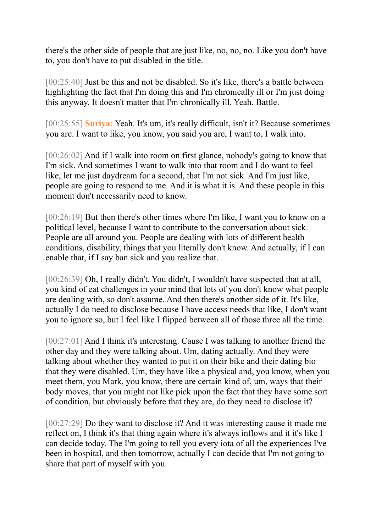there's the other side of people that are just like, no, no, no. Like you don't have to, you don't have to put disabled in the title.

[00:25:40] Just be this and not be disabled. So it's like, there's a battle between highlighting the fact that I'm doing this and I'm chronically ill or I'm just doing this anyway. It doesn't matter that I'm chronically ill. Yeah. Battle.

[00:25:55] **Suriya:** Yeah. It's um, it's really difficult, isn't it? Because sometimes you are. I want to like, you know, you said you are, I want to, I walk into.

[00:26:02] And if I walk into room on first glance, nobody's going to know that I'm sick. And sometimes I want to walk into that room and I do want to feel like, let me just daydream for a second, that I'm not sick. And I'm just like, people are going to respond to me. And it is what it is. And these people in this moment don't necessarily need to know.

[00:26:19] But then there's other times where I'm like, I want you to know on a political level, because I want to contribute to the conversation about sick. People are all around you. People are dealing with lots of different health conditions, disability, things that you literally don't know. And actually, if I can enable that, if I say ban sick and you realize that.

[00:26:39] Oh, I really didn't. You didn't, I wouldn't have suspected that at all, you kind of eat challenges in your mind that lots of you don't know what people are dealing with, so don't assume. And then there's another side of it. It's like, actually I do need to disclose because I have access needs that like, I don't want you to ignore so, but I feel like I flipped between all of those three all the time.

[00:27:01] And I think it's interesting. Cause I was talking to another friend the other day and they were talking about. Um, dating actually. And they were talking about whether they wanted to put it on their bike and their dating bio that they were disabled. Um, they have like a physical and, you know, when you meet them, you Mark, you know, there are certain kind of, um, ways that their body moves, that you might not like pick upon the fact that they have some sort of condition, but obviously before that they are, do they need to disclose it?

[00:27:29] Do they want to disclose it? And it was interesting cause it made me reflect on, I think it's that thing again where it's always inflows and it it's like I can decide today. The I'm going to tell you every iota of all the experiences I've been in hospital, and then tomorrow, actually I can decide that I'm not going to share that part of myself with you.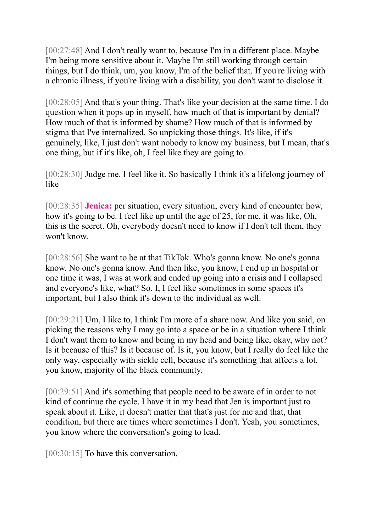[00:27:48] And I don't really want to, because I'm in a different place. Maybe I'm being more sensitive about it. Maybe I'm still working through certain things, but I do think, um, you know, I'm of the belief that. If you're living with a chronic illness, if you're living with a disability, you don't want to disclose it.

[00:28:05] And that's your thing. That's like your decision at the same time. I do question when it pops up in myself, how much of that is important by denial? How much of that is informed by shame? How much of that is informed by stigma that I've internalized. So unpicking those things. It's like, if it's genuinely, like, I just don't want nobody to know my business, but I mean, that's one thing, but if it's like, oh, I feel like they are going to.

[00:28:30] Judge me. I feel like it. So basically I think it's a lifelong journey of like

[00:28:35] **Jenica:** per situation, every situation, every kind of encounter how, how it's going to be. I feel like up until the age of 25, for me, it was like, Oh, this is the secret. Oh, everybody doesn't need to know if I don't tell them, they won't know.

[00:28:56] She want to be at that TikTok. Who's gonna know. No one's gonna know. No one's gonna know. And then like, you know, I end up in hospital or one time it was, I was at work and ended up going into a crisis and I collapsed and everyone's like, what? So. I, I feel like sometimes in some spaces it's important, but I also think it's down to the individual as well.

[00:29:21] Um, I like to, I think I'm more of a share now. And like you said, on picking the reasons why I may go into a space or be in a situation where I think I don't want them to know and being in my head and being like, okay, why not? Is it because of this? Is it because of. Is it, you know, but I really do feel like the only way, especially with sickle cell, because it's something that affects a lot, you know, majority of the black community.

[00:29:51] And it's something that people need to be aware of in order to not kind of continue the cycle. I have it in my head that Jen is important just to speak about it. Like, it doesn't matter that that's just for me and that, that condition, but there are times where sometimes I don't. Yeah, you sometimes, you know where the conversation's going to lead.

[00:30:15] To have this conversation.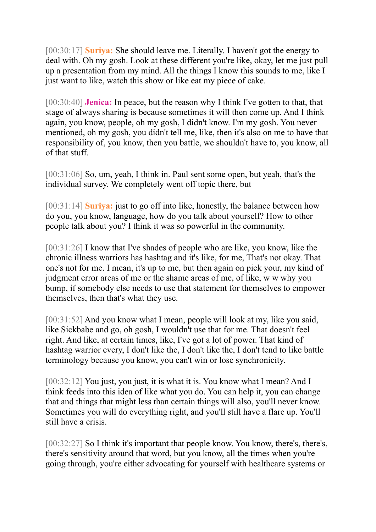[00:30:17] **Suriya:** She should leave me. Literally. I haven't got the energy to deal with. Oh my gosh. Look at these different you're like, okay, let me just pull up a presentation from my mind. All the things I know this sounds to me, like I just want to like, watch this show or like eat my piece of cake.

[00:30:40] **Jenica:** In peace, but the reason why I think I've gotten to that, that stage of always sharing is because sometimes it will then come up. And I think again, you know, people, oh my gosh, I didn't know. I'm my gosh. You never mentioned, oh my gosh, you didn't tell me, like, then it's also on me to have that responsibility of, you know, then you battle, we shouldn't have to, you know, all of that stuff.

[00:31:06] So, um, yeah, I think in. Paul sent some open, but yeah, that's the individual survey. We completely went off topic there, but

[00:31:14] **Suriya:** just to go off into like, honestly, the balance between how do you, you know, language, how do you talk about yourself? How to other people talk about you? I think it was so powerful in the community.

[00:31:26] I know that I've shades of people who are like, you know, like the chronic illness warriors has hashtag and it's like, for me, That's not okay. That one's not for me. I mean, it's up to me, but then again on pick your, my kind of judgment error areas of me or the shame areas of me, of like, w w why you bump, if somebody else needs to use that statement for themselves to empower themselves, then that's what they use.

[00:31:52] And you know what I mean, people will look at my, like you said, like Sickbabe and go, oh gosh, I wouldn't use that for me. That doesn't feel right. And like, at certain times, like, I've got a lot of power. That kind of hashtag warrior every, I don't like the, I don't like the, I don't tend to like battle terminology because you know, you can't win or lose synchronicity.

[00:32:12] You just, you just, it is what it is. You know what I mean? And I think feeds into this idea of like what you do. You can help it, you can change that and things that might less than certain things will also, you'll never know. Sometimes you will do everything right, and you'll still have a flare up. You'll still have a crisis.

[00:32:27] So I think it's important that people know. You know, there's, there's, there's sensitivity around that word, but you know, all the times when you're going through, you're either advocating for yourself with healthcare systems or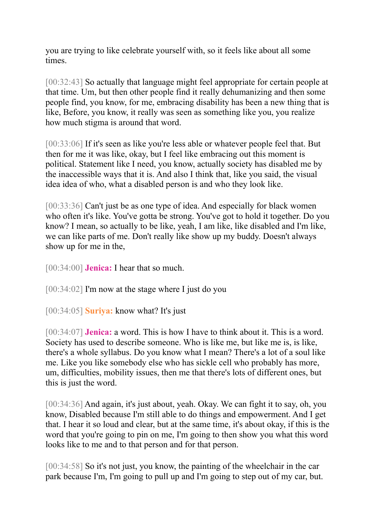you are trying to like celebrate yourself with, so it feels like about all some times.

[00:32:43] So actually that language might feel appropriate for certain people at that time. Um, but then other people find it really dehumanizing and then some people find, you know, for me, embracing disability has been a new thing that is like, Before, you know, it really was seen as something like you, you realize how much stigma is around that word.

[00:33:06] If it's seen as like you're less able or whatever people feel that. But then for me it was like, okay, but I feel like embracing out this moment is political. Statement like I need, you know, actually society has disabled me by the inaccessible ways that it is. And also I think that, like you said, the visual idea idea of who, what a disabled person is and who they look like.

[00:33:36] Can't just be as one type of idea. And especially for black women who often it's like. You've gotta be strong. You've got to hold it together. Do you know? I mean, so actually to be like, yeah, I am like, like disabled and I'm like, we can like parts of me. Don't really like show up my buddy. Doesn't always show up for me in the,

[00:34:00] **Jenica:** I hear that so much.

[00:34:02] I'm now at the stage where I just do you

[00:34:05] **Suriya:** know what? It's just

[00:34:07] **Jenica:** a word. This is how I have to think about it. This is a word. Society has used to describe someone. Who is like me, but like me is, is like, there's a whole syllabus. Do you know what I mean? There's a lot of a soul like me. Like you like somebody else who has sickle cell who probably has more, um, difficulties, mobility issues, then me that there's lots of different ones, but this is just the word.

[00:34:36] And again, it's just about, yeah. Okay. We can fight it to say, oh, you know, Disabled because I'm still able to do things and empowerment. And I get that. I hear it so loud and clear, but at the same time, it's about okay, if this is the word that you're going to pin on me, I'm going to then show you what this word looks like to me and to that person and for that person.

[00:34:58] So it's not just, you know, the painting of the wheelchair in the car park because I'm, I'm going to pull up and I'm going to step out of my car, but.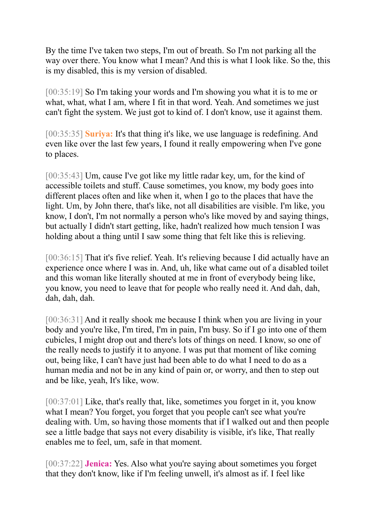By the time I've taken two steps, I'm out of breath. So I'm not parking all the way over there. You know what I mean? And this is what I look like. So the, this is my disabled, this is my version of disabled.

[00:35:19] So I'm taking your words and I'm showing you what it is to me or what, what, what I am, where I fit in that word. Yeah. And sometimes we just can't fight the system. We just got to kind of. I don't know, use it against them.

[00:35:35] **Suriya:** It's that thing it's like, we use language is redefining. And even like over the last few years, I found it really empowering when I've gone to places.

[00:35:43] Um, cause I've got like my little radar key, um, for the kind of accessible toilets and stuff. Cause sometimes, you know, my body goes into different places often and like when it, when I go to the places that have the light. Um, by John there, that's like, not all disabilities are visible. I'm like, you know, I don't, I'm not normally a person who's like moved by and saying things, but actually I didn't start getting, like, hadn't realized how much tension I was holding about a thing until I saw some thing that felt like this is relieving.

[00:36:15] That it's five relief. Yeah. It's relieving because I did actually have an experience once where I was in. And, uh, like what came out of a disabled toilet and this woman like literally shouted at me in front of everybody being like, you know, you need to leave that for people who really need it. And dah, dah, dah, dah, dah.

[00:36:31] And it really shook me because I think when you are living in your body and you're like, I'm tired, I'm in pain, I'm busy. So if I go into one of them cubicles, I might drop out and there's lots of things on need. I know, so one of the really needs to justify it to anyone. I was put that moment of like coming out, being like, I can't have just had been able to do what I need to do as a human media and not be in any kind of pain or, or worry, and then to step out and be like, yeah, It's like, wow.

[00:37:01] Like, that's really that, like, sometimes you forget in it, you know what I mean? You forget, you forget that you people can't see what you're dealing with. Um, so having those moments that if I walked out and then people see a little badge that says not every disability is visible, it's like, That really enables me to feel, um, safe in that moment.

[00:37:22] **Jenica:** Yes. Also what you're saying about sometimes you forget that they don't know, like if I'm feeling unwell, it's almost as if. I feel like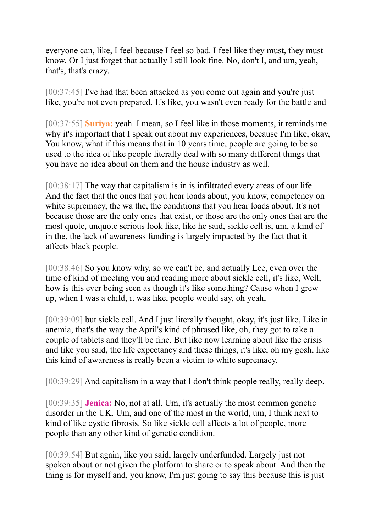everyone can, like, I feel because I feel so bad. I feel like they must, they must know. Or I just forget that actually I still look fine. No, don't I, and um, yeah, that's, that's crazy.

[00:37:45] I've had that been attacked as you come out again and you're just like, you're not even prepared. It's like, you wasn't even ready for the battle and

[00:37:55] **Suriya:** yeah. I mean, so I feel like in those moments, it reminds me why it's important that I speak out about my experiences, because I'm like, okay, You know, what if this means that in 10 years time, people are going to be so used to the idea of like people literally deal with so many different things that you have no idea about on them and the house industry as well.

[00:38:17] The way that capitalism is in is infiltrated every areas of our life. And the fact that the ones that you hear loads about, you know, competency on white supremacy, the wa the, the conditions that you hear loads about. It's not because those are the only ones that exist, or those are the only ones that are the most quote, unquote serious look like, like he said, sickle cell is, um, a kind of in the, the lack of awareness funding is largely impacted by the fact that it affects black people.

[00:38:46] So you know why, so we can't be, and actually Lee, even over the time of kind of meeting you and reading more about sickle cell, it's like, Well, how is this ever being seen as though it's like something? Cause when I grew up, when I was a child, it was like, people would say, oh yeah,

[00:39:09] but sickle cell. And I just literally thought, okay, it's just like, Like in anemia, that's the way the April's kind of phrased like, oh, they got to take a couple of tablets and they'll be fine. But like now learning about like the crisis and like you said, the life expectancy and these things, it's like, oh my gosh, like this kind of awareness is really been a victim to white supremacy.

[00:39:29] And capitalism in a way that I don't think people really, really deep.

[00:39:35] **Jenica:** No, not at all. Um, it's actually the most common genetic disorder in the UK. Um, and one of the most in the world, um, I think next to kind of like cystic fibrosis. So like sickle cell affects a lot of people, more people than any other kind of genetic condition.

[00:39:54] But again, like you said, largely underfunded. Largely just not spoken about or not given the platform to share or to speak about. And then the thing is for myself and, you know, I'm just going to say this because this is just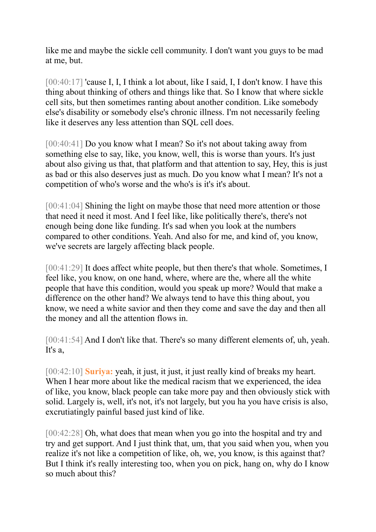like me and maybe the sickle cell community. I don't want you guys to be mad at me, but.

[00:40:17] 'cause I, I, I think a lot about, like I said, I, I don't know. I have this thing about thinking of others and things like that. So I know that where sickle cell sits, but then sometimes ranting about another condition. Like somebody else's disability or somebody else's chronic illness. I'm not necessarily feeling like it deserves any less attention than SQL cell does.

[00:40:41] Do you know what I mean? So it's not about taking away from something else to say, like, you know, well, this is worse than yours. It's just about also giving us that, that platform and that attention to say, Hey, this is just as bad or this also deserves just as much. Do you know what I mean? It's not a competition of who's worse and the who's is it's it's about.

[00:41:04] Shining the light on maybe those that need more attention or those that need it need it most. And I feel like, like politically there's, there's not enough being done like funding. It's sad when you look at the numbers compared to other conditions. Yeah. And also for me, and kind of, you know, we've secrets are largely affecting black people.

[00:41:29] It does affect white people, but then there's that whole. Sometimes, I feel like, you know, on one hand, where, where are the, where all the white people that have this condition, would you speak up more? Would that make a difference on the other hand? We always tend to have this thing about, you know, we need a white savior and then they come and save the day and then all the money and all the attention flows in.

[00:41:54] And I don't like that. There's so many different elements of, uh, yeah. It's a,

[00:42:10] **Suriya:** yeah, it just, it just, it just really kind of breaks my heart. When I hear more about like the medical racism that we experienced, the idea of like, you know, black people can take more pay and then obviously stick with solid. Largely is, well, it's not, it's not largely, but you ha you have crisis is also, excrutiatingly painful based just kind of like.

[00:42:28] Oh, what does that mean when you go into the hospital and try and try and get support. And I just think that, um, that you said when you, when you realize it's not like a competition of like, oh, we, you know, is this against that? But I think it's really interesting too, when you on pick, hang on, why do I know so much about this?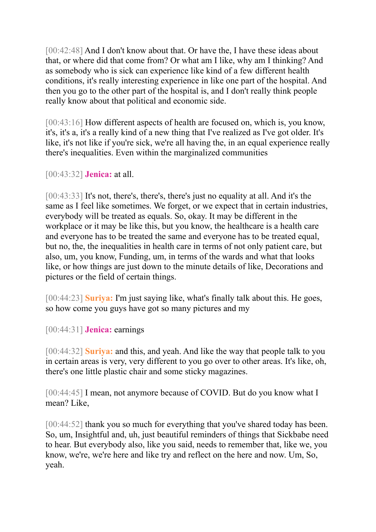[00:42:48] And I don't know about that. Or have the, I have these ideas about that, or where did that come from? Or what am I like, why am I thinking? And as somebody who is sick can experience like kind of a few different health conditions, it's really interesting experience in like one part of the hospital. And then you go to the other part of the hospital is, and I don't really think people really know about that political and economic side.

[00:43:16] How different aspects of health are focused on, which is, you know, it's, it's a, it's a really kind of a new thing that I've realized as I've got older. It's like, it's not like if you're sick, we're all having the, in an equal experience really there's inequalities. Even within the marginalized communities

[00:43:32] **Jenica:** at all.

[00:43:33] It's not, there's, there's, there's just no equality at all. And it's the same as I feel like sometimes. We forget, or we expect that in certain industries, everybody will be treated as equals. So, okay. It may be different in the workplace or it may be like this, but you know, the healthcare is a health care and everyone has to be treated the same and everyone has to be treated equal, but no, the, the inequalities in health care in terms of not only patient care, but also, um, you know, Funding, um, in terms of the wards and what that looks like, or how things are just down to the minute details of like, Decorations and pictures or the field of certain things.

[00:44:23] **Suriya:** I'm just saying like, what's finally talk about this. He goes, so how come you guys have got so many pictures and my

[00:44:31] **Jenica:** earnings

[00:44:32] **Suriya:** and this, and yeah. And like the way that people talk to you in certain areas is very, very different to you go over to other areas. It's like, oh, there's one little plastic chair and some sticky magazines.

[00:44:45] I mean, not anymore because of COVID. But do you know what I mean? Like,

[00:44:52] thank you so much for everything that you've shared today has been. So, um, Insightful and, uh, just beautiful reminders of things that Sickbabe need to hear. But everybody also, like you said, needs to remember that, like we, you know, we're, we're here and like try and reflect on the here and now. Um, So, yeah.